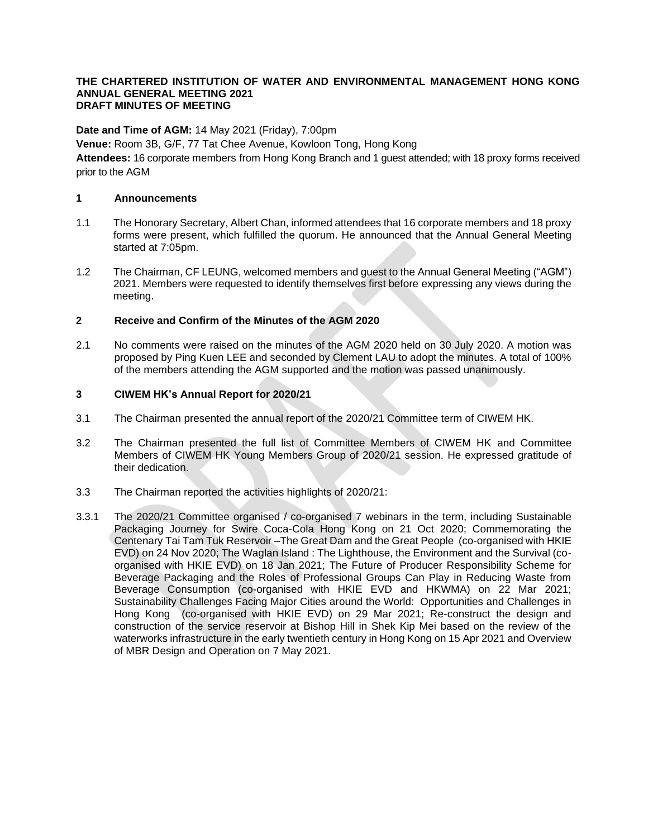#### **THE CHARTERED INSTITUTION OF WATER AND ENVIRONMENTAL MANAGEMENT HONG KONG ANNUAL GENERAL MEETING 2021 DRAFT MINUTES OF MEETING**

**Date and Time of AGM:** 14 May 2021 (Friday), 7:00pm

**Venue:** Room 3B, G/F, 77 Tat Chee Avenue, Kowloon Tong, Hong Kong

**Attendees:** 16 corporate members from Hong Kong Branch and 1 guest attended; with 18 proxy forms received prior to the AGM

#### **1 Announcements**

- 1.1 The Honorary Secretary, Albert Chan, informed attendees that 16 corporate members and 18 proxy forms were present, which fulfilled the quorum. He announced that the Annual General Meeting started at 7:05pm.
- 1.2 The Chairman, CF LEUNG, welcomed members and guest to the Annual General Meeting ("AGM") 2021. Members were requested to identify themselves first before expressing any views during the meeting.

### **2 Receive and Confirm of the Minutes of the AGM 2020**

2.1 No comments were raised on the minutes of the AGM 2020 held on 30 July 2020. A motion was proposed by Ping Kuen LEE and seconded by Clement LAU to adopt the minutes. A total of 100% of the members attending the AGM supported and the motion was passed unanimously.

#### **3 CIWEM HK's Annual Report for 2020/21**

- 3.1 The Chairman presented the annual report of the 2020/21 Committee term of CIWEM HK.
- 3.2 The Chairman presented the full list of Committee Members of CIWEM HK and Committee Members of CIWEM HK Young Members Group of 2020/21 session. He expressed gratitude of their dedication.
- 3.3 The Chairman reported the activities highlights of 2020/21:
- 3.3.1 The 2020/21 Committee organised / co-organised 7 webinars in the term, including Sustainable Packaging Journey for Swire Coca-Cola Hong Kong on 21 Oct 2020; Commemorating the Centenary Tai Tam Tuk Reservoir –The Great Dam and the Great People (co-organised with HKIE EVD) on 24 Nov 2020; The Waglan Island : The Lighthouse, the Environment and the Survival (coorganised with HKIE EVD) on 18 Jan 2021; The Future of Producer Responsibility Scheme for Beverage Packaging and the Roles of Professional Groups Can Play in Reducing Waste from Beverage Consumption (co-organised with HKIE EVD and HKWMA) on 22 Mar 2021; Sustainability Challenges Facing Major Cities around the World: Opportunities and Challenges in Hong Kong (co-organised with HKIE EVD) on 29 Mar 2021; Re-construct the design and construction of the service reservoir at Bishop Hill in Shek Kip Mei based on the review of the waterworks infrastructure in the early twentieth century in Hong Kong on 15 Apr 2021 and Overview of MBR Design and Operation on 7 May 2021.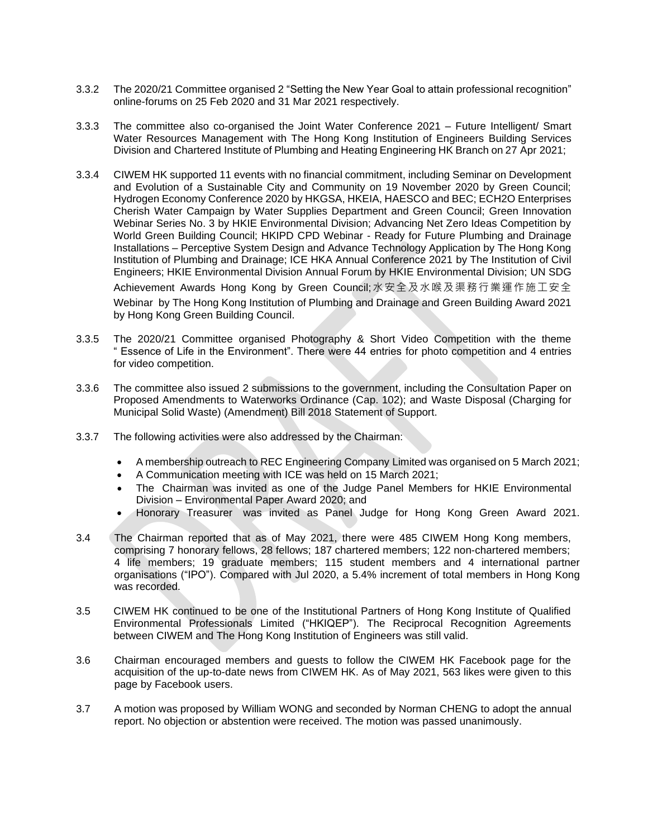- 3.3.2 The 2020/21 Committee organised 2 "Setting the New Year Goal to attain professional recognition" online-forums on 25 Feb 2020 and 31 Mar 2021 respectively.
- 3.3.3 The committee also co-organised the Joint Water Conference 2021 Future Intelligent/ Smart Water Resources Management with The Hong Kong Institution of Engineers Building Services Division and Chartered Institute of Plumbing and Heating Engineering HK Branch on 27 Apr 2021;
- 3.3.4 CIWEM HK supported 11 events with no financial commitment, including Seminar on Development and Evolution of a Sustainable City and Community on 19 November 2020 by Green Council; Hydrogen Economy Conference 2020 by HKGSA, HKEIA, HAESCO and BEC; ECH2O Enterprises Cherish Water Campaign by Water Supplies Department and Green Council; Green Innovation Webinar Series No. 3 by HKIE Environmental Division; Advancing Net Zero Ideas Competition by World Green Building Council; HKIPD CPD Webinar - Ready for Future Plumbing and Drainage Installations – Perceptive System Design and Advance Technology Application by The Hong Kong Institution of Plumbing and Drainage; ICE HKA Annual Conference 2021 by The Institution of Civil Engineers; HKIE Environmental Division Annual Forum by HKIE Environmental Division; UN SDG Achievement Awards Hong Kong by Green Council;水安全及水喉及渠務行業運作施工安全 Webinar by The Hong Kong Institution of Plumbing and Drainage and Green Building Award 2021 by Hong Kong Green Building Council.
- 3.3.5 The 2020/21 Committee organised Photography & Short Video Competition with the theme " Essence of Life in the Environment". There were 44 entries for photo competition and 4 entries for video competition.
- 3.3.6 The committee also issued 2 submissions to the government, including the Consultation Paper on Proposed Amendments to Waterworks Ordinance (Cap. 102); and Waste Disposal (Charging for Municipal Solid Waste) (Amendment) Bill 2018 Statement of Support.
- 3.3.7 The following activities were also addressed by the Chairman:
	- A membership outreach to REC Engineering Company Limited was organised on 5 March 2021;
	- A Communication meeting with ICE was held on 15 March 2021;
	- The Chairman was invited as one of the Judge Panel Members for HKIE Environmental Division – Environmental Paper Award 2020; and
	- Honorary Treasurer was invited as Panel Judge for Hong Kong Green Award 2021.
- 3.4 The Chairman reported that as of May 2021, there were 485 CIWEM Hong Kong members, comprising 7 honorary fellows, 28 fellows; 187 chartered members; 122 non-chartered members; 4 life members; 19 graduate members; 115 student members and 4 international partner organisations ("IPO"). Compared with Jul 2020, a 5.4% increment of total members in Hong Kong was recorded.
- 3.5 CIWEM HK continued to be one of the Institutional Partners of Hong Kong Institute of Qualified Environmental Professionals Limited ("HKIQEP"). The Reciprocal Recognition Agreements between CIWEM and The Hong Kong Institution of Engineers was still valid.
- 3.6 Chairman encouraged members and guests to follow the CIWEM HK Facebook page for the acquisition of the up-to-date news from CIWEM HK. As of May 2021, 563 likes were given to this page by Facebook users.
- 3.7 A motion was proposed by William WONG and seconded by Norman CHENG to adopt the annual report. No objection or abstention were received. The motion was passed unanimously.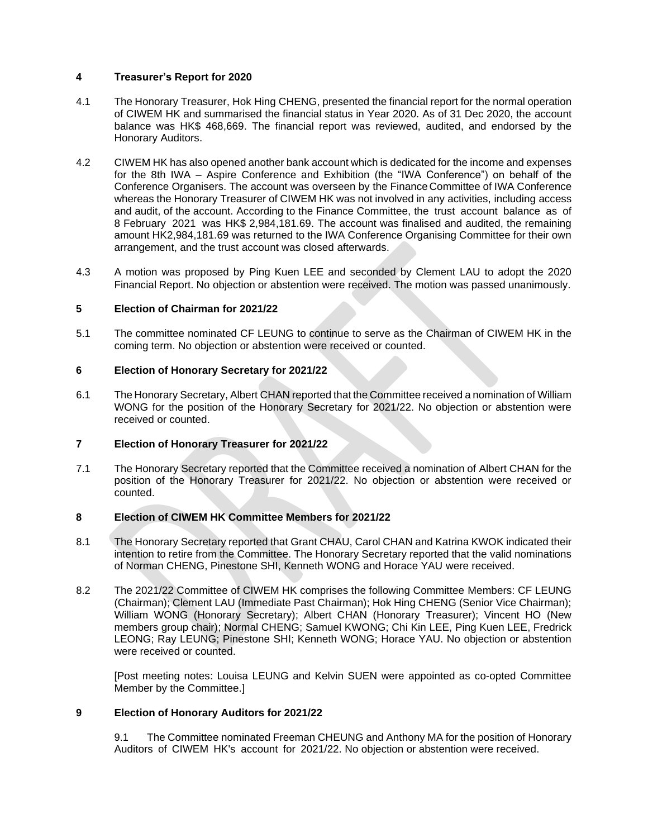# **4 Treasurer's Report for 2020**

- 4.1 The Honorary Treasurer, Hok Hing CHENG, presented the financial report for the normal operation of CIWEM HK and summarised the financial status in Year 2020. As of 31 Dec 2020, the account balance was HK\$ 468,669. The financial report was reviewed, audited, and endorsed by the Honorary Auditors.
- 4.2 CIWEM HK has also opened another bank account which is dedicated for the income and expenses for the 8th IWA – Aspire Conference and Exhibition (the "IWA Conference") on behalf of the Conference Organisers. The account was overseen by the Finance Committee of IWA Conference whereas the Honorary Treasurer of CIWEM HK was not involved in any activities, including access and audit, of the account. According to the Finance Committee, the trust account balance as of 8 February 2021 was HK\$ 2,984,181.69. The account was finalised and audited, the remaining amount HK2,984,181.69 was returned to the IWA Conference Organising Committee for their own arrangement, and the trust account was closed afterwards.
- 4.3 A motion was proposed by Ping Kuen LEE and seconded by Clement LAU to adopt the 2020 Financial Report. No objection or abstention were received. The motion was passed unanimously.

# **5 Election of Chairman for 2021/22**

5.1 The committee nominated CF LEUNG to continue to serve as the Chairman of CIWEM HK in the coming term. No objection or abstention were received or counted.

#### **6 Election of Honorary Secretary for 2021/22**

6.1 The Honorary Secretary, Albert CHAN reported that the Committee received a nomination of William WONG for the position of the Honorary Secretary for 2021/22. No objection or abstention were received or counted.

# **7 Election of Honorary Treasurer for 2021/22**

7.1 The Honorary Secretary reported that the Committee received a nomination of Albert CHAN for the position of the Honorary Treasurer for 2021/22. No objection or abstention were received or counted.

# **8 Election of CIWEM HK Committee Members for 2021/22**

- 8.1 The Honorary Secretary reported that Grant CHAU, Carol CHAN and Katrina KWOK indicated their intention to retire from the Committee. The Honorary Secretary reported that the valid nominations of Norman CHENG, Pinestone SHI, Kenneth WONG and Horace YAU were received.
- 8.2 The 2021/22 Committee of CIWEM HK comprises the following Committee Members: CF LEUNG (Chairman); Clement LAU (Immediate Past Chairman); Hok Hing CHENG (Senior Vice Chairman); William WONG (Honorary Secretary); Albert CHAN (Honorary Treasurer); Vincent HO (New members group chair); Normal CHENG; Samuel KWONG; Chi Kin LEE, Ping Kuen LEE, Fredrick LEONG; Ray LEUNG; Pinestone SHI; Kenneth WONG; Horace YAU. No objection or abstention were received or counted.

[Post meeting notes: Louisa LEUNG and Kelvin SUEN were appointed as co-opted Committee Member by the Committee.]

#### **9 Election of Honorary Auditors for 2021/22**

9.1 The Committee nominated Freeman CHEUNG and Anthony MA for the position of Honorary Auditors of CIWEM HK's account for 2021/22. No objection or abstention were received.